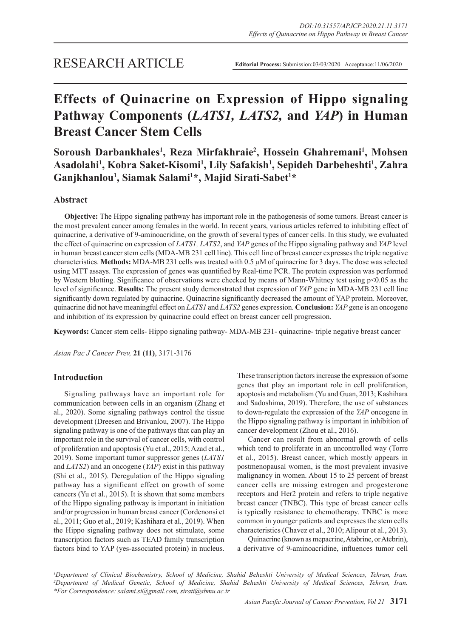# **Effects of Quinacrine on Expression of Hippo signaling Pathway Components (***LATS1, LATS2,* **and** *YAP***) in Human Breast Cancer Stem Cells**

**Soroush Darbankhales1 , Reza Mirfakhraie2 , Hossein Ghahremani1 , Mohsen Asadolahi1 , Kobra Saket-Kisomi1 , Lily Safakish1 , Sepideh Darbeheshti1 , Zahra Ganjkhanlou1 , Siamak Salami1 \*, Majid Sirati-Sabet1 \***

# **Abstract**

**Objective:** The Hippo signaling pathway has important role in the pathogenesis of some tumors. Breast cancer is the most prevalent cancer among females in the world. In recent years, various articles referred to inhibiting effect of quinacrine, a derivative of 9-aminoacridine, on the growth of several types of cancer cells. In this study, we evaluated the effect of quinacrine on expression of *LATS1, LATS2*, and *YAP* genes of the Hippo signaling pathway and *YAP* level in human breast cancer stem cells (MDA-MB 231 cell line). This cell line of breast cancer expresses the triple negative characteristics. **Methods:** MDA-MB 231 cells was treated with 0.5 µM of quinacrine for 3 days. The dose was selected using MTT assays. The expression of genes was quantified by Real-time PCR. The protein expression was performed by Western blotting. Significance of observations were checked by means of Mann-Whitney test using p<0.05 as the level of significance. **Results:** The present study demonstrated that expression of *YAP* gene in MDA-MB 231 cell line significantly down regulated by quinacrine. Quinacrine significantly decreased the amount of YAP protein. Moreover, quinacrine did not have meaningful effect on *LATS1* and *LATS2* genes expression. **Conclusion:** *YAP* gene is an oncogene and inhibition of its expression by quinacrine could effect on breast cancer cell progression.

**Keywords:** Cancer stem cells- Hippo signaling pathway- MDA-MB 231- quinacrine- triple negative breast cancer

*Asian Pac J Cancer Prev,* **21 (11)**, 3171-3176

# **Introduction**

Signaling pathways have an important role for communication between cells in an organism (Zhang et al., 2020). Some signaling pathways control the tissue development (Dreesen and Brivanlou, 2007). The Hippo signaling pathway is one of the pathways that can play an important role in the survival of cancer cells, with control of proliferation and apoptosis (Yu et al., 2015; Azad et al., 2019). Some important tumor suppressor genes (*LATS1*  and *LATS2*) and an oncogene (*YAP*) exist in this pathway (Shi et al., 2015). Deregulation of the Hippo signaling pathway has a significant effect on growth of some cancers (Yu et al., 2015). It is shown that some members of the Hippo signaling pathway is important in initiation and/or progression in human breast cancer (Cordenonsi et al., 2011; Guo et al., 2019; Kashihara et al., 2019). When the Hippo signaling pathway does not stimulate, some transcription factors such as TEAD family transcription factors bind to YAP (yes-associated protein) in nucleus. These transcription factors increase the expression of some genes that play an important role in cell proliferation, apoptosis and metabolism (Yu and Guan, 2013; Kashihara and Sadoshima, 2019). Therefore, the use of substances to down-regulate the expression of the *YAP* oncogene in the Hippo signaling pathway is important in inhibition of cancer development (Zhou et al., 2016).

Cancer can result from abnormal growth of cells which tend to proliferate in an uncontrolled way (Torre et al., 2015). Breast cancer, which mostly appears in postmenopausal women, is the most prevalent invasive malignancy in women. About 15 to 25 percent of breast cancer cells are missing estrogen and progesterone receptors and Her2 protein and refers to triple negative breast cancer (TNBC). This type of breast cancer cells is typically resistance to chemotherapy. TNBC is more common in younger patients and expresses the stem cells characteristics (Chavez et al., 2010; Alipour et al., 2013).

Quinacrine (known as mepacrine, Atabrine, or Atebrin), a derivative of 9-aminoacridine, influences tumor cell

<sup>1</sup>Department of Clinical Biochemistry, School of Medicine, Shahid Beheshti University of Medical Sciences, Tehran, Iran. <sup>2</sup>Department of Medical Genetic, School of Medicine, Shahid Beheshti University of Medical Sciences, Tehran, Iran. *\*For Correspondence: salami.si@gmail.com, sirati@sbmu.ac.ir*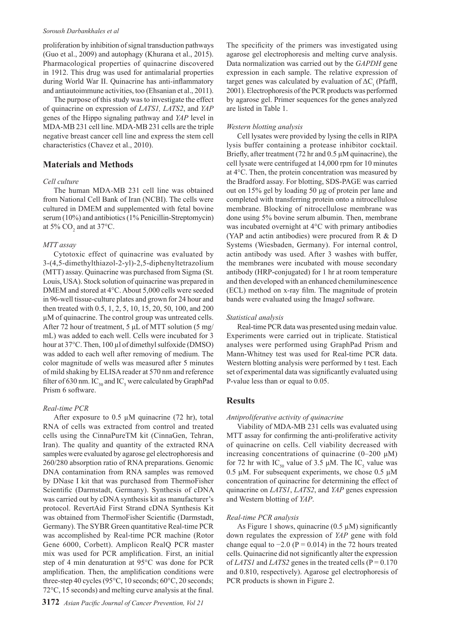#### *Soroush Darbankhales et al*

proliferation by inhibition of signal transduction pathways (Guo et al., 2009) and autophagy (Khurana et al., 2015). Pharmacological properties of quinacrine discovered in 1912. This drug was used for antimalarial properties during World War II. Quinacrine has anti-inflammatory and antiautoimmune activities, too (Ehsanian et al., 2011).

The purpose of this study was to investigate the effect of quinacrine on expression of *LATS1, LATS2*, and *YAP* genes of the Hippo signaling pathway and *YAP* level in MDA-MB 231 cell line. MDA-MB 231 cells are the triple negative breast cancer cell line and express the stem cell characteristics (Chavez et al., 2010).

# **Materials and Methods**

## *Cell culture*

The human MDA-MB 231 cell line was obtained from National Cell Bank of Iran (NCBI). The cells were cultured in DMEM and supplemented with fetal bovine serum (10%) and antibiotics (1% Penicillin-Streptomycin) at 5%  $CO<sub>2</sub>$  and at 37°C.

## *MTT assay*

Cytotoxic effect of quinacrine was evaluated by 3-(4,5-dimethylthiazol-2-yl)-2,5-diphenyltetrazolium (MTT) assay. Quinacrine was purchased from Sigma (St. Louis, USA). Stock solution of quinacrine was prepared in DMEM and stored at 4°C. About 5,000 cells were seeded in 96-well tissue-culture plates and grown for 24 hour and then treated with 0.5, 1, 2, 5, 10, 15, 20, 50, 100, and 200 µM of quinacrine. The control group was untreated cells. After 72 hour of treatment, 5 μL of MTT solution (5 mg/ mL) was added to each well. Cells were incubated for 3 hour at 37°C. Then, 100 µl of dimethyl sulfoxide (DMSO) was added to each well after removing of medium. The color magnitude of wells was measured after 5 minutes of mild shaking by ELISA reader at 570 nm and reference filter of 630 nm. IC $_{50}$  and IC<sub>5</sub> were calculated by GraphPad Prism 6 software.

#### *Real-time PCR*

After exposure to  $0.5 \mu M$  quinacrine (72 hr), total RNA of cells was extracted from control and treated cells using the CinnaPureTM kit (CinnaGen, Tehran, Iran). The quality and quantity of the extracted RNA samples were evaluated by agarose gel electrophoresis and 260/280 absorption ratio of RNA preparations. Genomic DNA contamination from RNA samples was removed by DNase I kit that was purchased from ThermoFisher Scientific (Darmstadt, Germany). Synthesis of cDNA was carried out by cDNA synthesis kit as manufacturer's protocol. RevertAid First Strand cDNA Synthesis Kit was obtained from ThermoFisher Scientific (Darmstadt, Germany). The SYBR Green quantitative Real-time PCR was accomplished by Real-time PCR machine (Rotor Gene 6000, Corbett). Amplicon RealQ PCR master mix was used for PCR amplification. First, an initial step of 4 min denaturation at 95°C was done for PCR amplification. Then, the amplification conditions were three-step 40 cycles (95°C, 10 seconds; 60°C, 20 seconds; 72°C, 15 seconds) and melting curve analysis at the final.

The specificity of the primers was investigated using agarose gel electrophoresis and melting curve analysis. Data normalization was carried out by the *GAPDH* gene expression in each sample. The relative expression of target genes was calculated by evaluation of  $\Delta C_t$  (Pfaffl, 2001). Electrophoresis of the PCR products was performed by agarose gel. Primer sequences for the genes analyzed are listed in Table 1.

## *Western blotting analysis*

Cell lysates were provided by lysing the cells in RIPA lysis buffer containing a protease inhibitor cocktail. Briefly, after treatment (72 hr and 0.5 μM quinacrine), the cell lysate were centrifuged at 14,000 rpm for 10 minutes at 4°C. Then, the protein concentration was measured by the Bradford assay. For blotting, SDS-PAGE was carried out on 15% gel by loading 50 μg of protein per lane and completed with transferring protein onto a nitrocellulose membrane. Blocking of nitrocellulose membrane was done using 5% bovine serum albumin. Then, membrane was incubated overnight at 4°C with primary antibodies (YAP and actin antibodies) were procured from R & D Systems (Wiesbaden, Germany). For internal control, actin antibody was used. After 3 washes with buffer, the membranes were incubated with mouse secondary antibody (HRP-conjugated) for 1 hr at room temperature and then developed with an enhanced chemiluminescence (ECL) method on x-ray film. The magnitude of protein bands were evaluated using the ImageJ software.

## *Statistical analysis*

Real-time PCR data was presented using medain value. Experiments were carried out in triplicate. Statistical analyses were performed using GraphPad Prism and Mann-Whitney test was used for Real-time PCR data. Western blotting analysis were performed by t test. Each set of experimental data was significantly evaluated using P-value less than or equal to 0.05.

# **Results**

## *Antiproliferative activity of quinacrine*

Viability of MDA-MB 231 cells was evaluated using MTT assay for confirming the anti-proliferative activity of quinacrine on cells. Cell viability decreased with increasing concentrations of quinacrine  $(0-200 \mu M)$ for 72 hr with  $IC_{50}$  value of 3.5  $\mu$ M. The  $IC_{5}$  value was 0.5 μM. For subsequent experiments, we chose 0.5 μM concentration of quinacrine for determining the effect of quinacrine on *LATS1*, *LATS2*, and *YAP* genes expression and Western blotting of *YAP*.

#### *Real-time PCR analysis*

As Figure 1 shows, quinacrine (0.5 uM) significantly down regulates the expression of *YAP* gene with fold change equal to  $-2.0$  (P = 0.014) in the 72 hours treated cells. Quinacrine did not significantly alter the expression of *LATS1* and *LATS2* genes in the treated cells ( $P = 0.170$ ) and 0.810, respectively). Agarose gel electrophoresis of PCR products is shown in Figure 2.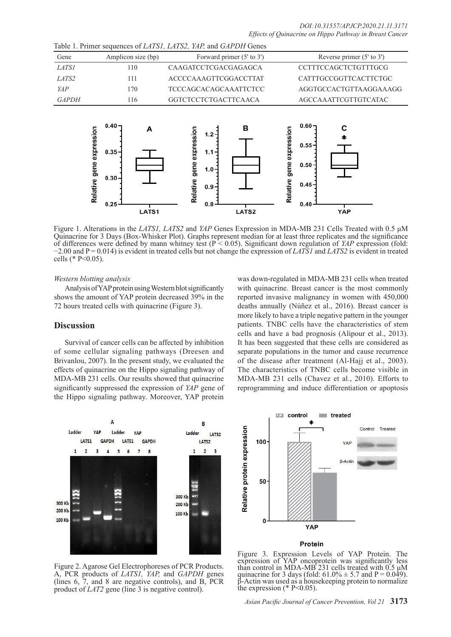|              |                          |                                                   | raore 1.11 miner bequences of Employ, Employ, min, and Om Employ                                 |                                                                                                 |
|--------------|--------------------------|---------------------------------------------------|--------------------------------------------------------------------------------------------------|-------------------------------------------------------------------------------------------------|
| Gene         |                          | Amplicon size (bp)                                | Forward primer (5' to 3')                                                                        | Reverse primer $(5'$ to $3')$                                                                   |
| <b>LATS1</b> |                          | 110                                               | CAAGATCCTCGACGAGAGCA                                                                             | <b>CCTTTCCAGCTCTGTTTGCG</b>                                                                     |
| LATS2        |                          | 111                                               | <b>ACCCCAAAGTTCGGACCTTAT</b>                                                                     | CATTTGCCGGTTCACTTCTGC                                                                           |
| YAP          |                          | 170                                               | <b>TCCCAGCACAGCAAATTCTCC</b>                                                                     | AGGTGCCACTGTTAAGGAAAGG                                                                          |
| <b>GAPDH</b> |                          | 116                                               | <b>GGTCTCCTCTGACTTCAACA</b>                                                                      | AGCCAAATTCGTTGTCATAC                                                                            |
|              | Relative gene expression | $0.40 -$<br>А<br>$0.35 -$<br>$0.30 -$<br>$0.25 -$ | в<br>gene expression<br>$1.2 -$<br>$1.1 -$<br>$1.0 -$<br>Relative<br>$0.9 -$<br>0.8 <sub>0</sub> | $0.60 -$<br>C<br>expression<br>$0.55 -$<br>gene<br>$0.50 -$<br>Relative<br>$0.45 -$<br>$0.40 -$ |

Figure 1. Alterations in the *LATS1, LATS2* and *YAP* Genes Expression in MDA-MB 231 Cells Treated with 0.5 μM Quinacrine for 3 Days (Box-Whisker Plot). Graphs represent median for at least three replicates and the significance of differences were defined by mann whitney test (P < 0.05). Significant down regulation of *YAP* expression (fold: −2.00 and P = 0.014) is evident in treated cells but not change the expression of *LATS1* and *LATS2* is evident in treated cells (\* P<0.05).

LATS<sub>2</sub>

### *Western blotting analysis*

Analysis of YAP protein using Western blot significantly shows the amount of YAP protein decreased 39% in the 72 hours treated cells with quinacrine (Figure 3).

LATS1

Table 1. Primer sequences of *LATS1, LATS2, YAP,* and *GAPDH* Genes

# **Discussion**

Survival of cancer cells can be affected by inhibition of some cellular signaling pathways (Dreesen and Brivanlou, 2007). In the present study, we evaluated the effects of quinacrine on the Hippo signaling pathway of MDA-MB 231 cells. Our results showed that quinacrine significantly suppressed the expression of *YAP* gene of the Hippo signaling pathway. Moreover, YAP protein

was down-regulated in MDA-MB 231 cells when treated with quinacrine. Breast cancer is the most commonly reported invasive malignancy in women with 450,000 deaths annually (Núñez et al., 2016). Breast cancer is more likely to have a triple negative pattern in the younger patients. TNBC cells have the characteristics of stem cells and have a bad prognosis (Alipour et al., 2013). It has been suggested that these cells are considered as separate populations in the tumor and cause recurrence of the disease after treatment (Al-Hajj et al., 2003). The characteristics of TNBC cells become visible in MDA-MB 231 cells (Chavez et al., 2010). Efforts to reprogramming and induce differentiation or apoptosis

YAP



Figure 2. Agarose Gel Electrophoreses of PCR Products. A, PCR products of *LATS1, YAP,* and *GAPDH* genes (lines 6, 7, and 8 are negative controls), and B, PCR product of *LAT2* gene (line 3 is negative control).



#### Protein

Figure 3. Expression Levels of YAP Protein. The expression of YAP oncoprotein was significantly less than control in MDA-MB 231 cells treated with 0.5 μM quinacrine for 3 days (fold:  $61.0\% \pm 5.7$  and P = 0.049). Actin was used as a housekeeping protein to normalize the expression  $(* P<0.05)$ .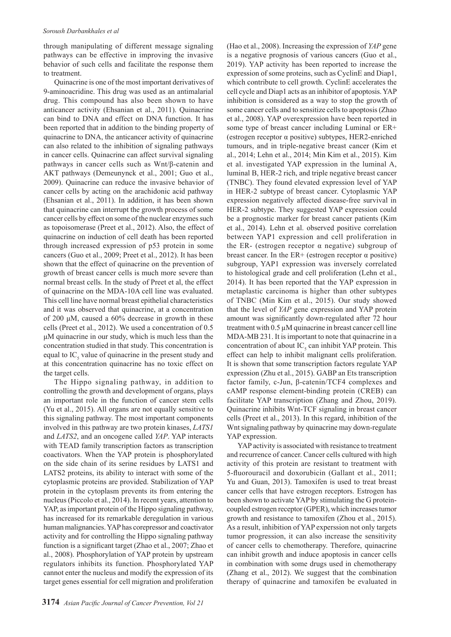through manipulating of different message signaling pathways can be effective in improving the invasive behavior of such cells and facilitate the response them to treatment.

Quinacrine is one of the most important derivatives of 9-aminoacridine. This drug was used as an antimalarial drug. This compound has also been shown to have anticancer activity (Ehsanian et al., 2011). Quinacrine can bind to DNA and effect on DNA function. It has been reported that in addition to the binding property of quinacrine to DNA, the anticancer activity of quinacrine can also related to the inhibition of signaling pathways in cancer cells. Quinacrine can affect survival signaling pathways in cancer cells such as Wnt/β-catenin and AKT pathways (Demeunynck et al., 2001; Guo et al., 2009). Quinacrine can reduce the invasive behavior of cancer cells by acting on the arachidonic acid pathway (Ehsanian et al., 2011). In addition, it has been shown that quinacrine can interrupt the growth process of some cancer cells by effect on some of the nuclear enzymes such as topoisomerase (Preet et al., 2012). Also, the effect of quinacrine on induction of cell death has been reported through increased expression of p53 protein in some cancers (Guo et al., 2009; Preet et al., 2012). It has been shown that the effect of quinacrine on the prevention of growth of breast cancer cells is much more severe than normal breast cells. In the study of Preet et al, the effect of quinacrine on the MDA-10A cell line was evaluated. This cell line have normal breast epithelial characteristics and it was observed that quinacrine, at a concentration of 200 μM, caused a 60% decrease in growth in these cells (Preet et al., 2012). We used a concentration of 0.5 μM quinacrine in our study, which is much less than the concentration studied in that study. This concentration is equal to  $IC<sub>5</sub>$  value of quinacrine in the present study and at this concentration quinacrine has no toxic effect on the target cells.

The Hippo signaling pathway, in addition to controlling the growth and development of organs, plays an important role in the function of cancer stem cells (Yu et al., 2015). All organs are not equally sensitive to this signaling pathway. The most important components involved in this pathway are two protein kinases, *LATS1* and *LATS2*, and an oncogene called *YAP*. YAP interacts with TEAD family transcription factors as transcription coactivators. When the YAP protein is phosphorylated on the side chain of its serine residues by LATS1 and LATS2 proteins, its ability to interact with some of the cytoplasmic proteins are provided. Stabilization of YAP protein in the cytoplasm prevents its from entering the nucleus (Piccolo et al., 2014). In recent years, attention to YAP, as important protein of the Hippo signaling pathway, has increased for its remarkable deregulation in various human malignancies. YAP has corepressor and coactivator activity and for controlling the Hippo signaling pathway function is a significant target (Zhao et al., 2007; Zhao et al., 2008). Phosphorylation of YAP protein by upstream regulators inhibits its function. Phosphorylated YAP cannot enter the nucleus and modify the expression of its target genes essential for cell migration and proliferation (Hao et al., 2008). Increasing the expression of *YAP* gene is a negative prognosis of various cancers (Guo et al., 2019). YAP activity has been reported to increase the expression of some proteins, such as CyclinE and Diap1, which contribute to cell growth. CyclinE accelerates the cell cycle and Diap1 acts as an inhibitor of apoptosis. YAP inhibition is considered as a way to stop the growth of some cancer cells and to sensitize cells to apoptosis (Zhao et al., 2008). YAP overexpression have been reported in some type of breast cancer including Luminal or ER+ (estrogen receptor α positive) subtypes, HER2-enriched tumours, and in triple-negative breast cancer (Kim et al., 2014; Lehn et al., 2014; Min Kim et al., 2015). Kim et al. investigated YAP expression in the luminal A, luminal B, HER-2 rich, and triple negative breast cancer (TNBC). They found elevated expression level of YAP in HER-2 subtype of breast cancer. Cytoplasmic YAP expression negatively affected disease-free survival in HER-2 subtype. They suggested YAP expression could be a prognostic marker for breast cancer patients (Kim et al., 2014). Lehn et al. observed positive correlation between YAP1 expression and cell proliferation in the ER- (estrogen receptor α negative) subgroup of breast cancer. In the  $ER+$  (estrogen receptor  $\alpha$  positive) subgroup, YAP1 expression was inversely correlated to histological grade and cell proliferation (Lehn et al., 2014). It has been reported that the YAP expression in metaplastic carcinoma is higher than other subtypes of TNBC (Min Kim et al., 2015). Our study showed that the level of *YAP* gene expression and YAP protein amount was significantly down-regulated after 72 hour treatment with 0.5 µM quinacrine in breast cancer cell line MDA-MB 231. It is important to note that quinacrine in a concentration of about  $IC<sub>s</sub>$  can inhibit YAP protein. This effect can help to inhibit malignant cells proliferation. It is shown that some transcription factors regulate YAP expression (Zhu et al., 2015). GABP an Ets transcription factor family, c-Jun, β-catenin/TCF4 complexes and cAMP response element-binding protein (CREB) can facilitate YAP transcription (Zhang and Zhou, 2019). Quinacrine inhibits Wnt-TCF signaling in breast cancer cells (Preet et al., 2013). In this regard, inhibition of the Wnt signaling pathway by quinacrine may down-regulate YAP expression.

YAP activity is associated with resistance to treatment and recurrence of cancer. Cancer cells cultured with high activity of this protein are resistant to treatment with 5-fluorouracil and doxorubicin (Gallant et al., 2011; Yu and Guan, 2013). Tamoxifen is used to treat breast cancer cells that have estrogen receptors. Estrogen has been shown to activate YAP by stimulating the G proteincoupled estrogen receptor (GPER), which increases tumor growth and resistance to tamoxifen (Zhou et al., 2015). As a result, inhibition of YAP experssion not only targets tumor progression, it can also increase the sensitivity of cancer cells to chemotherapy. Therefore, quinacrine can inhibit growth and induce apoptosis in cancer cells in combination with some drugs used in chemotherapy (Zhang et al., 2012). We suggest that the combination therapy of quinacrine and tamoxifen be evaluated in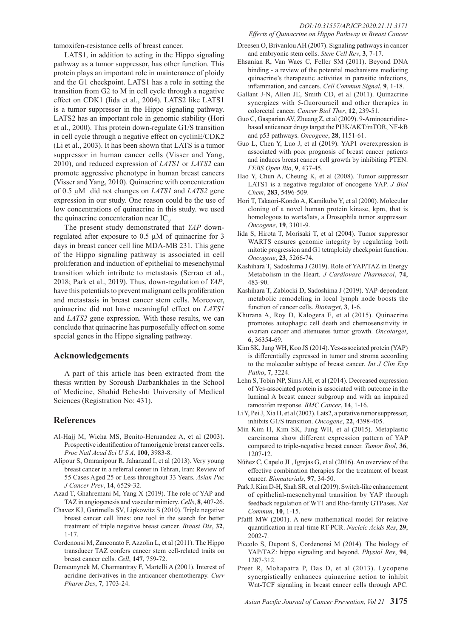### *DOI:10.31557/APJCP.2020.21.11.3171 Effects of Quinacrine on Hippo Pathway in Breast Cancer*

tamoxifen-resistance cells of breast cancer.

LATS1, in addition to acting in the Hippo signaling pathway as a tumor suppressor, has other function. This protein plays an important role in maintenance of ploidy and the G1 checkpoint. LATS1 has a role in setting the transition from G2 to M in cell cycle through a negative effect on CDK1 (Iida et al., 2004). LATS2 like LATS1 is a tumor suppressor in the Hippo signaling pathway. LATS2 has an important role in genomic stability (Hori et al., 2000). This protein down-regulate G1/S transition in cell cycle through a negative effect on cyclinE/CDK2 (Li et al., 2003). It has been shown that LATS is a tumor suppressor in human cancer cells (Visser and Yang, 2010), and reduced expression of *LATS1* or *LATS2* can promote aggressive phenotype in human breast cancers (Visser and Yang, 2010). Quinacrine with concenteration of 0.5 µM did not changes on *LATS1* and *LATS2* gene expression in our study. One reason could be the use of low concentrations of quinacrine in this study. we used the quinacrine concenteration near  $IC<sub>5</sub>$ .

The present study demonstrated that *YAP* downregulated after exposure to 0.5 µM of quinacrine for 3 days in breast cancer cell line MDA-MB 231. This gene of the Hippo signaling pathway is associated in cell proliferation and induction of epithelial to mesenchymal transition which intribute to metastasis (Serrao et al., 2018; Park et al., 2019). Thus, down-regulation of *YAP*, have this potentials to prevent malignant cells proliferation and metastasis in breast cancer stem cells. Moreover, quinacrine did not have meaningful effect on *LATS1* and *LATS2* gene expression. With these results, we can conclude that quinacrine has purposefully effect on some special genes in the Hippo signaling pathway.

## **Acknowledgements**

A part of this article has been extracted from the thesis written by Soroush Darbankhales in the School of Medicine, Shahid Beheshti University of Medical Sciences (Registration No: 431).

# **References**

- Al-Hajj M, Wicha MS, Benito-Hernandez A, et al (2003). Prospective identification of tumorigenic breast cancer cells. *Proc Natl Acad Sci U S A*, **100**, 3983-8.
- Alipour S, Omranipour R, Jahanzad I, et al (2013). Very young breast cancer in a referral center in Tehran, Iran: Review of 55 Cases Aged 25 or Less throughout 33 Years. *Asian Pac J Cancer Prev*, **14**, 6529-32.
- Azad T, Ghahremani M, Yang X (2019). The role of YAP and TAZ in angiogenesis and vascular mimicry. *Cells*, **8**, 407-26.
- Chavez KJ, Garimella SV, Lipkowitz S (2010). Triple negative breast cancer cell lines: one tool in the search for better treatment of triple negative breast cancer. *Breast Dis*, **32**, 1-17.
- Cordenonsi M, Zanconato F, Azzolin L, et al (2011). The Hippo transducer TAZ confers cancer stem cell-related traits on breast cancer cells. *Cell*, **147**, 759-72.
- Demeunynck M, Charmantray F, Martelli A (2001). Interest of acridine derivatives in the anticancer chemotherapy. *Curr Pharm Des*, **7**, 1703-24.
- Dreesen O, Brivanlou AH (2007). Signaling pathways in cancer and embryonic stem cells. *Stem Cell Rev*, **3**, 7-17.
- Ehsanian R, Van Waes C, Feller SM (2011). Beyond DNA binding - a review of the potential mechanisms mediating quinacrine's therapeutic activities in parasitic infections, inflammation, and cancers. *Cell Commun Signal*, **9**, 1-18.
- Gallant J-N, Allen JE, Smith CD, et al (2011). Quinacrine synergizes with 5-fluorouracil and other therapies in colorectal cancer. *Cancer Biol Ther*, **12**, 239-51.
- Guo C, Gasparian AV, Zhuang Z, et al (2009). 9-Aminoacridinebased anticancer drugs target the PI3K/AKT/mTOR, NF-kB and p53 pathways. *Oncogene*, **28**, 1151-61.
- Guo L, Chen Y, Luo J, et al (2019). YAP1 overexpression is associated with poor prognosis of breast cancer patients and induces breast cancer cell growth by inhibiting PTEN. *FEBS Open Bio*, **9**, 437-45.
- Hao Y, Chun A, Cheung K, et al (2008). Tumor suppressor LATS1 is a negative regulator of oncogene YAP. *J Biol Chem*, **283**, 5496-509.
- Hori T, Takaori-Kondo A, Kamikubo Y, et al (2000). Molecular cloning of a novel human protein kinase, kpm, that is homologous to warts/lats, a Drosophila tumor suppressor. *Oncogene*, **19**, 3101-9.
- Iida S, Hirota T, Morisaki T, et al (2004). Tumor suppressor WARTS ensures genomic integrity by regulating both mitotic progression and G1 tetraploidy checkpoint function. *Oncogene*, **23**, 5266-74.
- Kashihara T, Sadoshima J (2019). Role of YAP/TAZ in Energy Metabolism in the Heart. *J Cardiovasc Pharmacol*, **74**, 483-90.
- Kashihara T, Zablocki D, Sadoshima J (2019). YAP-dependent metabolic remodeling in local lymph node boosts the function of cancer cells. *Biotarget*, **3**, 1-6.
- Khurana A, Roy D, Kalogera E, et al (2015). Quinacrine promotes autophagic cell death and chemosensitivity in ovarian cancer and attenuates tumor growth. *Oncotarget*, **6**, 36354-69.
- Kim SK, Jung WH, Koo JS (2014). Yes-associated protein (YAP) is differentially expressed in tumor and stroma according to the molecular subtype of breast cancer. *Int J Clin Exp Patho*, **7**, 3224.
- Lehn S, Tobin NP, Sims AH, et al (2014). Decreased expression of Yes-associated protein is associated with outcome in the luminal A breast cancer subgroup and with an impaired tamoxifen response. *BMC Cancer*, **14**, 1-16.
- Li Y, Pei J, Xia H, et al (2003). Lats2, a putative tumor suppressor, inhibits G1/S transition. *Oncogene*, **22**, 4398-405.
- Min Kim H, Kim SK, Jung WH, et al (2015). Metaplastic carcinoma show different expression pattern of YAP compared to triple-negative breast cancer. *Tumor Biol*, **36**, 1207-12.
- Núñez C, Capelo JL, Igrejas G, et al (2016). An overview of the effective combination therapies for the treatment of breast cancer. *Biomaterials*, **97**, 34-50.
- Park J, Kim D-H, Shah SR, et al (2019). Switch-like enhancement of epithelial-mesenchymal transition by YAP through feedback regulation of WT1 and Rho-family GTPases. *Nat Commun*, **10**, 1-15.
- Pfaffl MW (2001). A new mathematical model for relative quantification in real-time RT-PCR. *Nucleic Acids Res*, **29**, 2002-7.
- Piccolo S, Dupont S, Cordenonsi M (2014). The biology of YAP/TAZ: hippo signaling and beyond. *Physiol Rev*, **94**, 1287-312.
- Preet R, Mohapatra P, Das D, et al (2013). Lycopene synergistically enhances quinacrine action to inhibit Wnt-TCF signaling in breast cancer cells through APC.

*Asian Pacific Journal of Cancer Prevention, Vol 21* **3175**